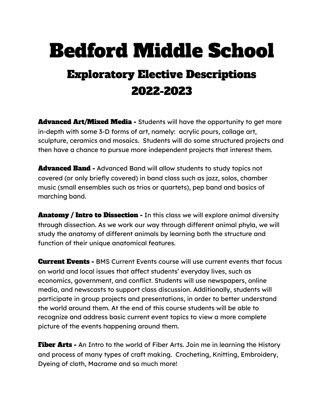## Bedford Middle School

## Exploratory Elective Descriptions 2022-2023

**Advanced Art/Mixed Media -** Students will have the opportunity to get more in-depth with some 3-D forms of art, namely: acrylic pours, collage art, sculpture, ceramics and mosaics. Students will do some structured projects and then have a chance to pursue more independent projects that interest them.

**Advanced Band -** Advanced Band will allow students to study topics not covered (or only briefly covered) in band class such as jazz, solos, chamber music (small ensembles such as trios or quartets), pep band and basics of marching band.

**Anatomy / Intro to Dissection - In this class we will explore animal diversity** through dissection. As we work our way through different animal phyla, we will study the anatomy of different animals by learning both the structure and function of their unique anatomical features.

**Current Events -** BMS Current Events course will use current events that focus on world and local issues that affect students' everyday lives, such as economics, government, and conflict. Students will use newspapers, online media, and newscasts to support class discussion. Additionally, students will participate in group projects and presentations, in order to better understand the world around them. At the end of this course students will be able to recognize and address basic current event topics to view a more complete picture of the events happening around them.

**Fiber Arts -** An Intro to the world of Fiber Arts. Join me in learning the History and process of many types of craft making. Crocheting, Knitting, Embroidery, Dyeing of cloth, Macrame and so much more!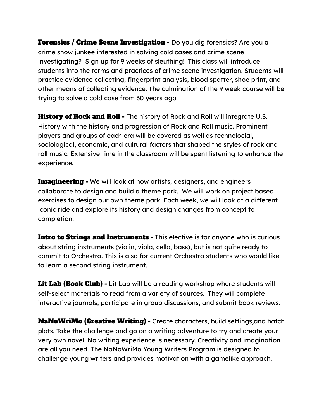**Forensics / Crime Scene Investigation -** Do you dig forensics? Are you a crime show junkee interested in solving cold cases and crime scene investigating? Sign up for 9 weeks of sleuthing! This class will introduce students into the terms and practices of crime scene investigation. Students will practice evidence collecting, fingerprint analysis, blood spatter, shoe print, and other means of collecting evidence. The culmination of the 9 week course will be trying to solve a cold case from 30 years ago.

**History of Rock and Roll -** The history of Rock and Roll will integrate U.S. History with the history and progression of Rock and Roll music. Prominent players and groups of each era will be covered as well as technolocial, sociological, economic, and cultural factors that shaped the styles of rock and roll music. Extensive time in the classroom will be spent listening to enhance the experience.

**Imagineering -** We will look at how artists, designers, and engineers collaborate to design and build a theme park. We will work on project based exercises to design our own theme park. Each week, we will look at a different iconic ride and explore its history and design changes from concept to completion.

Intro to Strings and Instruments - This elective is for anyone who is curious about string instruments (violin, viola, cello, bass), but is not quite ready to commit to Orchestra. This is also for current Orchestra students who would like to learn a second string instrument.

Lit Lab (Book Club) - Lit Lab will be a reading workshop where students will self-select materials to read from a variety of sources. They will complete interactive journals, participate in group discussions, and submit book reviews.

**NaNoWriMo (Creative Writing) -** Create characters, build settings, and hatch plots. Take the challenge and go on a writing adventure to try and create your very own novel. No writing experience is necessary. Creativity and imagination are all you need. The NaNoWriMo Young Writers Program is designed to challenge young writers and provides motivation with a gamelike approach.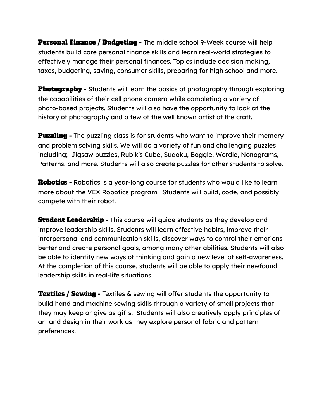**Personal Finance / Budgeting -** The middle school 9-Week course will help students build core personal finance skills and learn real-world strategies to effectively manage their personal finances. Topics include decision making, taxes, budgeting, saving, consumer skills, preparing for high school and more.

**Photography** - Students will learn the basics of photography through exploring the capabilities of their cell phone camera while completing a variety of photo-based projects. Students will also have the opportunity to look at the history of photography and a few of the well known artist of the craft.

**Puzzling -** The puzzling class is for students who want to improve their memory and problem solving skills. We will do a variety of fun and challenging puzzles including; Jigsaw puzzles, Rubik's Cube, Sudoku, Boggle, Wordle, Nonograms, Patterns, and more. Students will also create puzzles for other students to solve.

**Robotics -** Robotics is a year-long course for students who would like to learn more about the VEX Robotics program. Students will build, code, and possibly compete with their robot.

**Student Leadership -** This course will quide students as they develop and improve leadership skills. Students will learn effective habits, improve their interpersonal and communication skills, discover ways to control their emotions better and create personal goals, among many other abilities. Students will also be able to identify new ways of thinking and gain a new level of self-awareness. At the completion of this course, students will be able to apply their newfound leadership skills in real-life situations.

**Textiles / Sewing -** Textiles & sewing will offer students the opportunity to build hand and machine sewing skills through a variety of small projects that they may keep or give as gifts. Students will also creatively apply principles of art and design in their work as they explore personal fabric and pattern preferences.